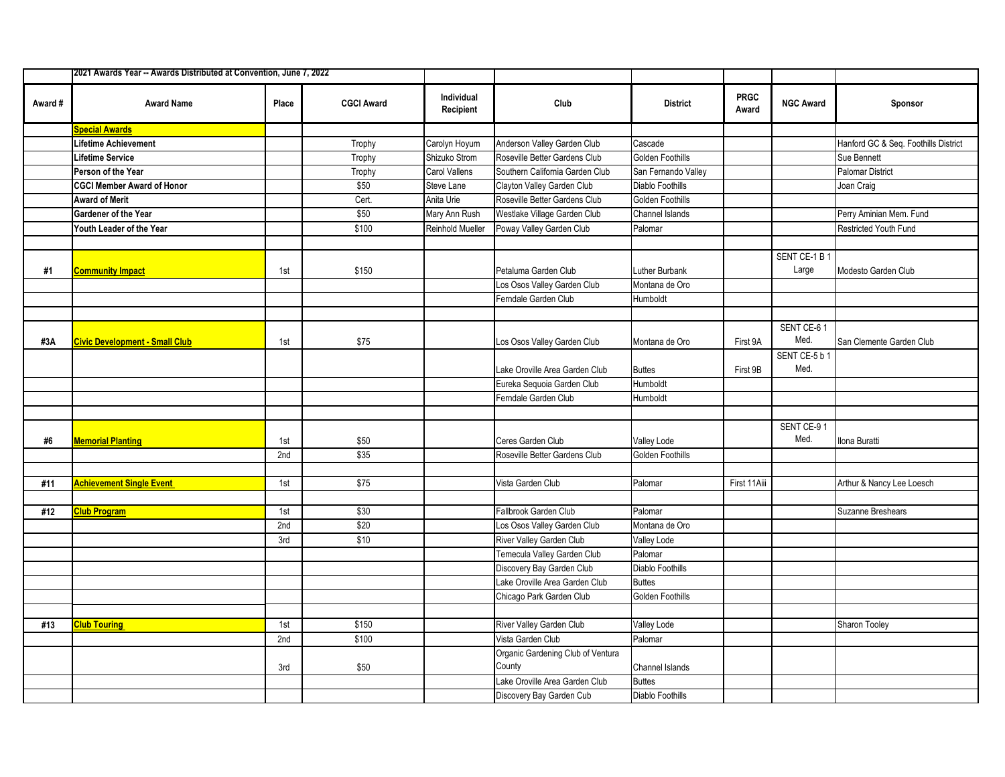|         | 2021 Awards Year -- Awards Distributed at Convention, June 7, 2022 |       |                   |                         |                                             |                         |                      |                       |                                      |
|---------|--------------------------------------------------------------------|-------|-------------------|-------------------------|---------------------------------------------|-------------------------|----------------------|-----------------------|--------------------------------------|
| Award # | <b>Award Name</b>                                                  | Place | <b>CGCI Award</b> | Individual<br>Recipient | Club                                        | <b>District</b>         | <b>PRGC</b><br>Award | <b>NGC Award</b>      | Sponsor                              |
|         | <b>Special Awards</b>                                              |       |                   |                         |                                             |                         |                      |                       |                                      |
|         | Lifetime Achievement                                               |       | Trophy            | Carolyn Hoyum           | Anderson Valley Garden Club                 | Cascade                 |                      |                       | Hanford GC & Seq. Foothills District |
|         | <b>Lifetime Service</b>                                            |       | Trophy            | Shizuko Strom           | Roseville Better Gardens Club               | Golden Foothills        |                      |                       | Sue Bennett                          |
|         | Person of the Year                                                 |       | Trophy            | Carol Vallens           | Southern California Garden Club             | San Fernando Valley     |                      |                       | <b>Palomar District</b>              |
|         | <b>CGCI Member Award of Honor</b>                                  |       | \$50              | Steve Lane              | Clayton Valley Garden Club                  | Diablo Foothills        |                      |                       | Joan Craig                           |
|         | <b>Award of Merit</b>                                              |       | Cert.             | Anita Urie              | Roseville Better Gardens Club               | Golden Foothills        |                      |                       |                                      |
|         | <b>Gardener of the Year</b>                                        |       | \$50              | Mary Ann Rush           | Westlake Village Garden Club                | Channel Islands         |                      |                       | Perry Aminian Mem. Fund              |
|         | Youth Leader of the Year                                           |       | \$100             | <b>Reinhold Mueller</b> | Poway Valley Garden Club                    | Palomar                 |                      |                       | Restricted Youth Fund                |
|         |                                                                    |       |                   |                         |                                             |                         |                      |                       |                                      |
|         |                                                                    |       |                   |                         |                                             |                         |                      | SENT CE-1 B 1         |                                      |
| #1      | <b>Community Impact</b>                                            | 1st   | \$150             |                         | Petaluma Garden Club                        | Luther Burbank          |                      | Large                 | Modesto Garden Club                  |
|         |                                                                    |       |                   |                         | Los Osos Valley Garden Club                 | Montana de Oro          |                      |                       |                                      |
|         |                                                                    |       |                   |                         | Ferndale Garden Club                        | Humboldt                |                      |                       |                                      |
|         |                                                                    |       |                   |                         |                                             |                         |                      |                       |                                      |
| #3A     | <b>Civic Development - Small Club</b>                              | 1st   | \$75              |                         | Los Osos Valley Garden Club                 | Montana de Oro          | First 9A             | SENT CE-61<br>Med.    | San Clemente Garden Club             |
|         |                                                                    |       |                   |                         | Lake Oroville Area Garden Club              | <b>Buttes</b>           | First 9B             | SENT CE-5 b 1<br>Med. |                                      |
|         |                                                                    |       |                   |                         | Eureka Sequoia Garden Club                  | Humboldt                |                      |                       |                                      |
|         |                                                                    |       |                   |                         | Ferndale Garden Club                        | Humboldt                |                      |                       |                                      |
|         |                                                                    |       |                   |                         |                                             |                         |                      |                       |                                      |
| #6      | <b>Memorial Planting</b>                                           | 1st   | \$50              |                         | Ceres Garden Club                           | <b>Valley Lode</b>      |                      | SENT CE-91<br>Med.    | Ilona Buratti                        |
|         |                                                                    | 2nd   | \$35              |                         | Roseville Better Gardens Club               | Golden Foothills        |                      |                       |                                      |
|         |                                                                    |       |                   |                         |                                             |                         |                      |                       |                                      |
| #11     | <b>Achievement Single Event</b>                                    | 1st   | \$75              |                         | Vista Garden Club                           | Palomar                 | First 11Aiii         |                       | Arthur & Nancy Lee Loesch            |
|         |                                                                    |       |                   |                         |                                             |                         |                      |                       |                                      |
| #12     | <b>Club Program</b>                                                | 1st   | \$30              |                         | Fallbrook Garden Club                       | Palomar                 |                      |                       | Suzanne Breshears                    |
|         |                                                                    | 2nd   | \$20              |                         | Los Osos Valley Garden Club                 | Montana de Oro          |                      |                       |                                      |
|         |                                                                    | 3rd   | \$10              |                         | River Valley Garden Club                    | Valley Lode             |                      |                       |                                      |
|         |                                                                    |       |                   |                         | Temecula Valley Garden Club                 | Palomar                 |                      |                       |                                      |
|         |                                                                    |       |                   |                         | Discovery Bay Garden Club                   | <b>Diablo Foothills</b> |                      |                       |                                      |
|         |                                                                    |       |                   |                         | Lake Oroville Area Garden Club              | <b>Buttes</b>           |                      |                       |                                      |
|         |                                                                    |       |                   |                         | Chicago Park Garden Club                    | Golden Foothills        |                      |                       |                                      |
|         |                                                                    |       |                   |                         |                                             |                         |                      |                       |                                      |
| #13     | <b>Club Touring</b>                                                | 1st   | \$150             |                         | River Valley Garden Club                    | Valley Lode             |                      |                       | Sharon Tooley                        |
|         |                                                                    | 2nd   | \$100             |                         | Vista Garden Club                           | Palomar                 |                      |                       |                                      |
|         |                                                                    | 3rd   | \$50              |                         | Organic Gardening Club of Ventura<br>County | Channel Islands         |                      |                       |                                      |
|         |                                                                    |       |                   |                         | Lake Oroville Area Garden Club              | <b>Buttes</b>           |                      |                       |                                      |
|         |                                                                    |       |                   |                         | Discovery Bay Garden Cub                    | Diablo Foothills        |                      |                       |                                      |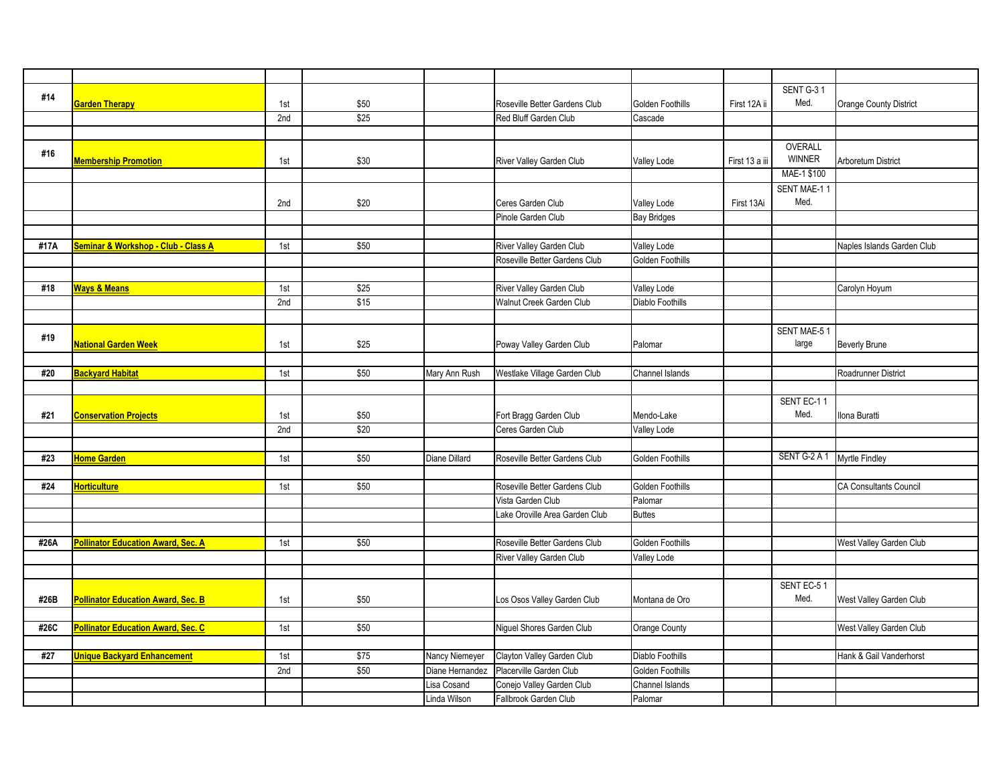|      |                                           |     |      |                 |                                |                    |                | SENT G-31     |                               |
|------|-------------------------------------------|-----|------|-----------------|--------------------------------|--------------------|----------------|---------------|-------------------------------|
| #14  | <b>Garden Therapy</b>                     | 1st | \$50 |                 | Roseville Better Gardens Club  | Golden Foothills   | First 12A ii   | Med.          | Orange County District        |
|      |                                           | 2nd | \$25 |                 | Red Bluff Garden Club          | Cascade            |                |               |                               |
|      |                                           |     |      |                 |                                |                    |                |               |                               |
|      |                                           |     |      |                 |                                |                    |                | OVERALL       |                               |
| #16  | <b>Membership Promotion</b>               | 1st | \$30 |                 | River Valley Garden Club       | <b>Valley Lode</b> | First 13 a iii | <b>WINNER</b> | <b>Arboretum District</b>     |
|      |                                           |     |      |                 |                                |                    |                | MAE-1 \$100   |                               |
|      |                                           |     |      |                 |                                |                    |                | SENT MAE-11   |                               |
|      |                                           | 2nd | \$20 |                 | Ceres Garden Club              | <b>Valley Lode</b> | First 13Ai     | Med.          |                               |
|      |                                           |     |      |                 | Pinole Garden Club             | <b>Bay Bridges</b> |                |               |                               |
|      |                                           |     |      |                 |                                |                    |                |               |                               |
| #17A | Seminar & Workshop - Club - Class A       | 1st | \$50 |                 | River Valley Garden Club       | Valley Lode        |                |               | Naples Islands Garden Club    |
|      |                                           |     |      |                 | Roseville Better Gardens Club  | Golden Foothills   |                |               |                               |
|      |                                           |     |      |                 |                                |                    |                |               |                               |
| #18  | <b>Ways &amp; Means</b>                   | 1st | \$25 |                 | River Valley Garden Club       | <b>Valley Lode</b> |                |               | Carolyn Hoyum                 |
|      |                                           | 2nd | \$15 |                 | Walnut Creek Garden Club       | Diablo Foothills   |                |               |                               |
|      |                                           |     |      |                 |                                |                    |                |               |                               |
|      |                                           |     |      |                 |                                |                    |                | SENT MAE-51   |                               |
| #19  | <b>National Garden Week</b>               | 1st | \$25 |                 | Poway Valley Garden Club       | Palomar            |                | large         | <b>Beverly Brune</b>          |
|      |                                           |     |      |                 |                                |                    |                |               |                               |
| #20  | Backyard Habitat                          | 1st | \$50 | Mary Ann Rush   | Westlake Village Garden Club   | Channel Islands    |                |               | Roadrunner District           |
|      |                                           |     |      |                 |                                |                    |                |               |                               |
|      |                                           |     |      |                 |                                |                    |                | SENT EC-11    |                               |
| #21  | <b>Conservation Projects</b>              | 1st | \$50 |                 | Fort Bragg Garden Club         | Mendo-Lake         |                | Med.          | Ilona Buratti                 |
|      |                                           | 2nd | \$20 |                 | Ceres Garden Club              | Valley Lode        |                |               |                               |
|      |                                           |     |      |                 |                                |                    |                |               |                               |
| #23  | Home Garden                               | 1st | \$50 | Diane Dillard   | Roseville Better Gardens Club  | Golden Foothills   |                | SENT G-2 A 1  | <b>Myrtle Findley</b>         |
|      |                                           |     |      |                 |                                |                    |                |               |                               |
| #24  | Horticulture                              | 1st | \$50 |                 | Roseville Better Gardens Club  | Golden Foothills   |                |               | <b>CA Consultants Council</b> |
|      |                                           |     |      |                 | Vista Garden Club              | Palomar            |                |               |                               |
|      |                                           |     |      |                 | Lake Oroville Area Garden Club | <b>Buttes</b>      |                |               |                               |
|      |                                           |     |      |                 |                                |                    |                |               |                               |
| #26A | <b>Pollinator Education Award, Sec. A</b> | 1st | \$50 |                 | Roseville Better Gardens Club  | Golden Foothills   |                |               | West Valley Garden Club       |
|      |                                           |     |      |                 | River Valley Garden Club       | Valley Lode        |                |               |                               |
|      |                                           |     |      |                 |                                |                    |                |               |                               |
|      |                                           |     |      |                 |                                |                    |                | SENT EC-51    |                               |
| #26B | <b>Pollinator Education Award, Sec. B</b> | 1st | \$50 |                 | Los Osos Valley Garden Club    | Montana de Oro     |                | Med.          | West Valley Garden Club       |
|      |                                           |     |      |                 |                                |                    |                |               |                               |
| #26C | Pollinator Education Award, Sec. C        | 1st | \$50 |                 | Niguel Shores Garden Club      | Orange County      |                |               | West Valley Garden Club       |
|      |                                           |     |      |                 |                                |                    |                |               |                               |
| #27  | Unique Backyard Enhancement               | 1st | \$75 | Nancy Niemeyer  | Clayton Valley Garden Club     | Diablo Foothills   |                |               | Hank & Gail Vanderhorst       |
|      |                                           | 2nd | \$50 | Diane Hernandez | Placerville Garden Club        | Golden Foothills   |                |               |                               |
|      |                                           |     |      |                 | Conejo Valley Garden Club      | Channel Islands    |                |               |                               |
|      |                                           |     |      | Lisa Cosand     |                                |                    |                |               |                               |
|      |                                           |     |      | Linda Wilson    | Fallbrook Garden Club          | Palomar            |                |               |                               |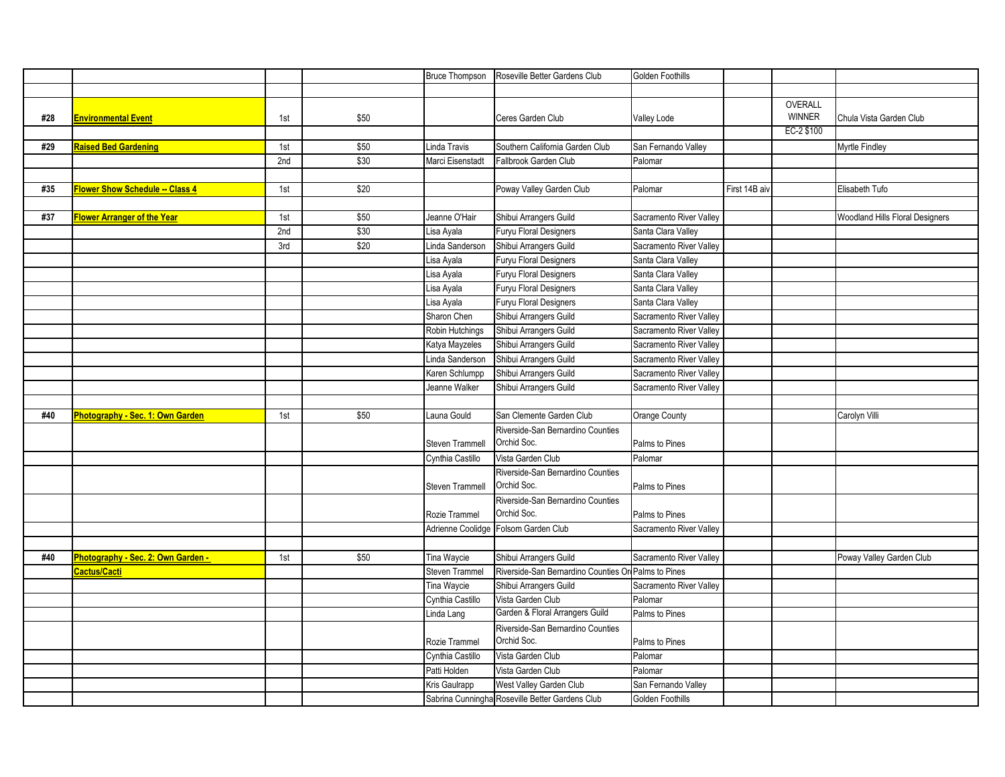|     |                                        |     |      | <b>Bruce Thompson</b> | Roseville Better Gardens Club                       | Golden Foothills        |               |                          |                                 |
|-----|----------------------------------------|-----|------|-----------------------|-----------------------------------------------------|-------------------------|---------------|--------------------------|---------------------------------|
|     |                                        |     |      |                       |                                                     |                         |               |                          |                                 |
| #28 | <b>Environmental Event</b>             | 1st | \$50 |                       | Ceres Garden Club                                   | <b>Valley Lode</b>      |               | OVERALL<br><b>WINNER</b> | Chula Vista Garden Club         |
|     |                                        |     |      |                       |                                                     |                         |               | EC-2 \$100               |                                 |
| #29 | <b>Raised Bed Gardening</b>            | 1st | \$50 | Linda Travis          | Southern California Garden Club                     | San Fernando Valley     |               |                          | Myrtle Findley                  |
|     |                                        | 2nd | \$30 | Marci Eisenstadt      | Fallbrook Garden Club                               | Palomar                 |               |                          |                                 |
|     |                                        |     |      |                       |                                                     |                         |               |                          |                                 |
| #35 | <b>Flower Show Schedule -- Class 4</b> | 1st | \$20 |                       | Poway Valley Garden Club                            | Palomar                 | First 14B aiv |                          | Elisabeth Tufo                  |
|     |                                        |     |      |                       |                                                     |                         |               |                          |                                 |
| #37 | Flower Arranger of the Year            | 1st | \$50 | Jeanne O'Hair         | Shibui Arrangers Guild                              | Sacramento River Valley |               |                          | Woodland Hills Floral Designers |
|     |                                        | 2nd | \$30 | Lisa Ayala            | Furyu Floral Designers                              | Santa Clara Valley      |               |                          |                                 |
|     |                                        | 3rd | \$20 | Linda Sanderson       | Shibui Arrangers Guild                              | Sacramento River Valley |               |                          |                                 |
|     |                                        |     |      | Lisa Ayala            | Furyu Floral Designers                              | Santa Clara Valley      |               |                          |                                 |
|     |                                        |     |      | Lisa Ayala            | Furyu Floral Designers                              | Santa Clara Valley      |               |                          |                                 |
|     |                                        |     |      | Lisa Ayala            | Furyu Floral Designers                              | Santa Clara Valley      |               |                          |                                 |
|     |                                        |     |      | Lisa Ayala            | Furyu Floral Designers                              | Santa Clara Valley      |               |                          |                                 |
|     |                                        |     |      | Sharon Chen           | Shibui Arrangers Guild                              | Sacramento River Valley |               |                          |                                 |
|     |                                        |     |      | Robin Hutchings       | Shibui Arrangers Guild                              | Sacramento River Valley |               |                          |                                 |
|     |                                        |     |      | Katya Mayzeles        | Shibui Arrangers Guild                              | Sacramento River Valley |               |                          |                                 |
|     |                                        |     |      | Linda Sanderson       | Shibui Arrangers Guild                              | Sacramento River Valley |               |                          |                                 |
|     |                                        |     |      | Karen Schlumpp        | Shibui Arrangers Guild                              | Sacramento River Valley |               |                          |                                 |
|     |                                        |     |      | Jeanne Walker         | Shibui Arrangers Guild                              | Sacramento River Valley |               |                          |                                 |
|     |                                        |     |      |                       |                                                     |                         |               |                          |                                 |
| #40 | Photography - Sec. 1: Own Garden       | 1st | \$50 | Launa Gould           | San Clemente Garden Club                            | Orange County           |               |                          | Carolyn Villi                   |
|     |                                        |     |      |                       | Riverside-San Bernardino Counties                   |                         |               |                          |                                 |
|     |                                        |     |      | Steven Trammell       | Orchid Soc.                                         | Palms to Pines          |               |                          |                                 |
|     |                                        |     |      | Cynthia Castillo      | Vista Garden Club                                   | Palomar                 |               |                          |                                 |
|     |                                        |     |      |                       | Riverside-San Bernardino Counties                   |                         |               |                          |                                 |
|     |                                        |     |      | Steven Trammell       | Orchid Soc.                                         | Palms to Pines          |               |                          |                                 |
|     |                                        |     |      |                       | Riverside-San Bernardino Counties                   |                         |               |                          |                                 |
|     |                                        |     |      | Rozie Trammel         | Orchid Soc.                                         | Palms to Pines          |               |                          |                                 |
|     |                                        |     |      |                       | Adrienne Coolidge Folsom Garden Club                | Sacramento River Valley |               |                          |                                 |
|     |                                        |     |      |                       |                                                     |                         |               |                          |                                 |
| #40 | Photography - Sec. 2: Own Garden -     | 1st | \$50 | Tina Waycie           | Shibui Arrangers Guild                              | Sacramento River Valley |               |                          | Poway Valley Garden Club        |
|     | Cactus/Cacti                           |     |      | Steven Trammel        | Riverside-San Bernardino Counties Or Palms to Pines |                         |               |                          |                                 |
|     |                                        |     |      | Tina Waycie           | Shibui Arrangers Guild                              | Sacramento River Valley |               |                          |                                 |
|     |                                        |     |      | Cynthia Castillo      | Vista Garden Club                                   | Palomar                 |               |                          |                                 |
|     |                                        |     |      | Linda Lang            | Garden & Floral Arrangers Guild                     | Palms to Pines          |               |                          |                                 |
|     |                                        |     |      |                       | Riverside-San Bernardino Counties                   |                         |               |                          |                                 |
|     |                                        |     |      | Rozie Trammel         | Orchid Soc.                                         | Palms to Pines          |               |                          |                                 |
|     |                                        |     |      | Cynthia Castillo      | Vista Garden Club                                   | Palomar                 |               |                          |                                 |
|     |                                        |     |      | Patti Holden          | Vista Garden Club                                   | Palomar                 |               |                          |                                 |
|     |                                        |     |      | Kris Gaulrapp         | West Valley Garden Club                             | San Fernando Valley     |               |                          |                                 |
|     |                                        |     |      |                       | Sabrina Cunningha Roseville Better Gardens Club     | Golden Foothills        |               |                          |                                 |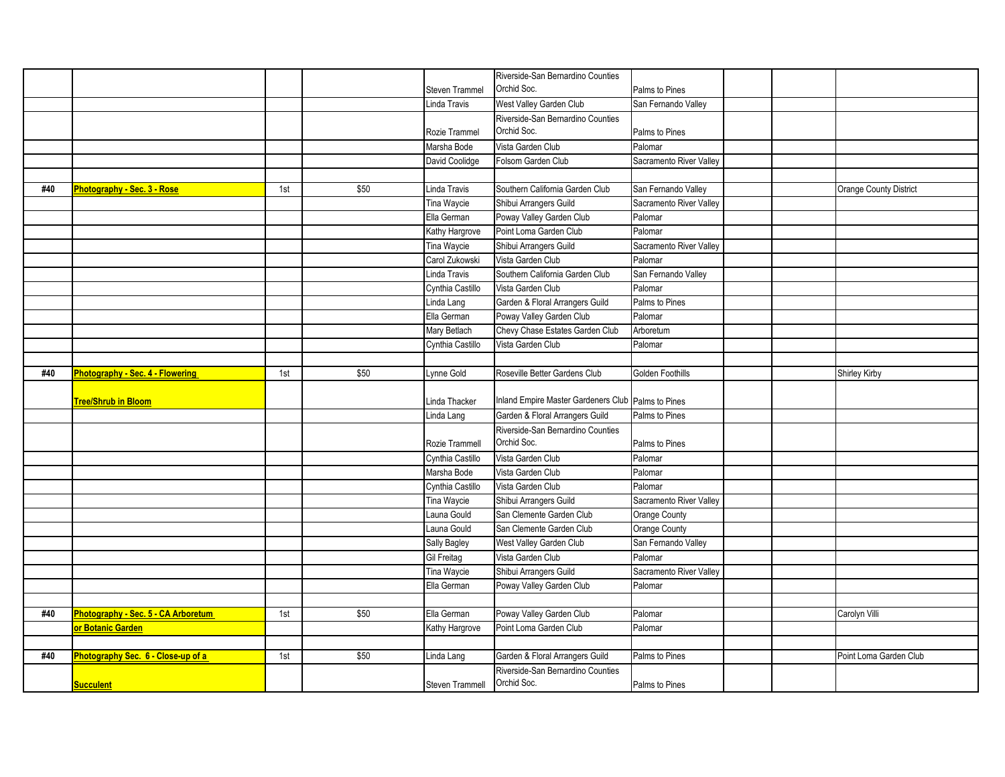|     |                                         |     |      |                        | Riverside-San Bernardino Counties                                    |                         |                               |
|-----|-----------------------------------------|-----|------|------------------------|----------------------------------------------------------------------|-------------------------|-------------------------------|
|     |                                         |     |      | Steven Trammel         | Orchid Soc.                                                          | Palms to Pines          |                               |
|     |                                         |     |      | Linda Travis           | West Valley Garden Club                                              | San Fernando Valley     |                               |
|     |                                         |     |      |                        | Riverside-San Bernardino Counties                                    |                         |                               |
|     |                                         |     |      | Rozie Trammel          | Orchid Soc.                                                          | Palms to Pines          |                               |
|     |                                         |     |      | Marsha Bode            | Vista Garden Club                                                    | Palomar                 |                               |
|     |                                         |     |      | David Coolidge         | Folsom Garden Club                                                   | Sacramento River Valley |                               |
|     |                                         |     |      |                        |                                                                      |                         |                               |
| #40 | <b>Photography - Sec. 3 - Rose</b>      | 1st | \$50 | Linda Travis           | Southern California Garden Club                                      | San Fernando Valley     | <b>Orange County District</b> |
|     |                                         |     |      | Tina Waycie            | Shibui Arrangers Guild                                               | Sacramento River Valley |                               |
|     |                                         |     |      | Ella German            | Poway Valley Garden Club                                             | Palomar                 |                               |
|     |                                         |     |      | Kathy Hargrove         | Point Loma Garden Club                                               | Palomar                 |                               |
|     |                                         |     |      | Tina Waycie            | Shibui Arrangers Guild                                               | Sacramento River Valley |                               |
|     |                                         |     |      | Carol Zukowski         | Vista Garden Club                                                    | Palomar                 |                               |
|     |                                         |     |      | Linda Travis           | Southern California Garden Club                                      | San Fernando Valley     |                               |
|     |                                         |     |      | Cynthia Castillo       | Vista Garden Club                                                    | Palomar                 |                               |
|     |                                         |     |      | Linda Lang             | Garden & Floral Arrangers Guild                                      | Palms to Pines          |                               |
|     |                                         |     |      | Ella German            | Poway Valley Garden Club                                             | Palomar                 |                               |
|     |                                         |     |      | Mary Betlach           | Chevy Chase Estates Garden Club                                      | Arboretum               |                               |
|     |                                         |     |      | Cynthia Castillo       | Vista Garden Club                                                    | Palomar                 |                               |
|     |                                         |     |      |                        |                                                                      |                         |                               |
| #40 | <b>Photography - Sec. 4 - Flowering</b> | 1st | \$50 | vnne Gold              | Roseville Better Gardens Club                                        | Golden Foothills        | <b>Shirley Kirby</b>          |
|     |                                         |     |      | Linda Thacker          | Inland Empire Master Gardeners Club Palms to Pines                   |                         |                               |
|     | <b>Tree/Shrub in Bloom</b>              |     |      | Linda Lang             | Garden & Floral Arrangers Guild                                      | Palms to Pines          |                               |
|     |                                         |     |      |                        | Riverside-San Bernardino Counties                                    |                         |                               |
|     |                                         |     |      | Rozie Trammell         | Orchid Soc.                                                          | Palms to Pines          |                               |
|     |                                         |     |      | Cynthia Castillo       | Vista Garden Club                                                    | Palomar                 |                               |
|     |                                         |     |      | Marsha Bode            | Vista Garden Club                                                    | Palomar                 |                               |
|     |                                         |     |      | Cynthia Castillo       | Vista Garden Club                                                    | Palomar                 |                               |
|     |                                         |     |      | Tina Waycie            | Shibui Arrangers Guild                                               | Sacramento River Valley |                               |
|     |                                         |     |      | Launa Gould            | San Clemente Garden Club                                             | Orange County           |                               |
|     |                                         |     |      | Launa Gould            | San Clemente Garden Club                                             | Orange County           |                               |
|     |                                         |     |      | Sally Bagley           | West Valley Garden Club                                              | San Fernando Valley     |                               |
|     |                                         |     |      | Gil Freitag            | Vista Garden Club                                                    | Palomar                 |                               |
|     |                                         |     |      | Tina Waycie            | Shibui Arrangers Guild                                               | Sacramento River Valley |                               |
|     |                                         |     |      | Ella German            | Poway Valley Garden Club                                             | Palomar                 |                               |
|     |                                         |     |      |                        |                                                                      |                         |                               |
| #40 | Photography - Sec. 5 - CA Arboretum     | 1st | \$50 | Ella German            | Poway Valley Garden Club                                             | Palomar                 | Carolyn Villi                 |
|     | or Botanic Garden                       |     |      | Kathy Hargrove         | Point Loma Garden Club                                               | Palomar                 |                               |
|     |                                         |     |      |                        |                                                                      |                         |                               |
|     |                                         |     |      |                        |                                                                      |                         |                               |
| #40 |                                         |     |      |                        |                                                                      | Palms to Pines          |                               |
|     | Photography Sec. 6 - Close-up of a      | 1st | \$50 | Linda Lang             | Garden & Floral Arrangers Guild<br>Riverside-San Bernardino Counties |                         | Point Loma Garden Club        |
|     | <b>Succulent</b>                        |     |      | <b>Steven Trammell</b> | Orchid Soc.                                                          | Palms to Pines          |                               |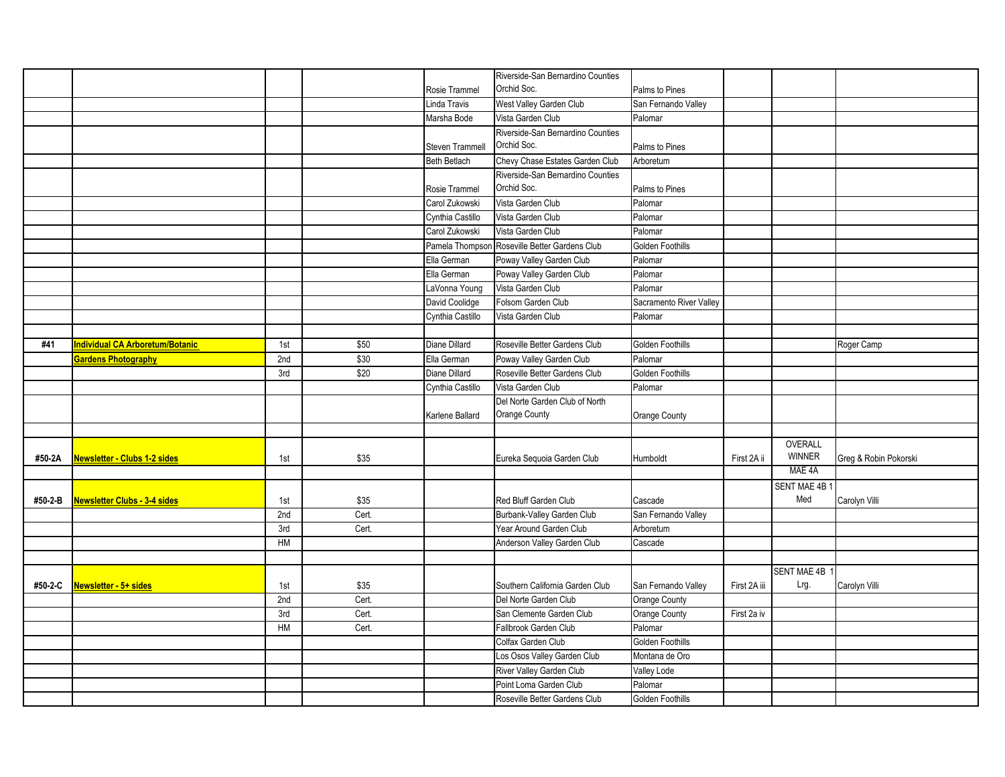|         |                                     |     |       |                        | Riverside-San Bernardino Counties             |                         |              |                    |                       |
|---------|-------------------------------------|-----|-------|------------------------|-----------------------------------------------|-------------------------|--------------|--------------------|-----------------------|
|         |                                     |     |       | Rosie Trammel          | Orchid Soc.                                   | Palms to Pines          |              |                    |                       |
|         |                                     |     |       | Linda Travis           | West Valley Garden Club                       | San Fernando Valley     |              |                    |                       |
|         |                                     |     |       | Marsha Bode            | Vista Garden Club                             | Palomar                 |              |                    |                       |
|         |                                     |     |       |                        | Riverside-San Bernardino Counties             |                         |              |                    |                       |
|         |                                     |     |       | <b>Steven Trammell</b> | Orchid Soc.                                   | Palms to Pines          |              |                    |                       |
|         |                                     |     |       | <b>Beth Betlach</b>    | Chevy Chase Estates Garden Club               | Arboretum               |              |                    |                       |
|         |                                     |     |       |                        | Riverside-San Bernardino Counties             |                         |              |                    |                       |
|         |                                     |     |       | Rosie Trammel          | Orchid Soc.                                   | Palms to Pines          |              |                    |                       |
|         |                                     |     |       | Carol Zukowski         | Vista Garden Club                             | Palomar                 |              |                    |                       |
|         |                                     |     |       | Cynthia Castillo       | Vista Garden Club                             | Palomar                 |              |                    |                       |
|         |                                     |     |       | Carol Zukowski         | Vista Garden Club                             | Palomar                 |              |                    |                       |
|         |                                     |     |       |                        | Pamela Thompson Roseville Better Gardens Club | <b>Golden Foothills</b> |              |                    |                       |
|         |                                     |     |       | Ella German            | Poway Valley Garden Club                      | Palomar                 |              |                    |                       |
|         |                                     |     |       | Ella German            | Poway Valley Garden Club                      | Palomar                 |              |                    |                       |
|         |                                     |     |       | LaVonna Young          | Vista Garden Club                             | Palomar                 |              |                    |                       |
|         |                                     |     |       | David Coolidge         | Folsom Garden Club                            | Sacramento River Valley |              |                    |                       |
|         |                                     |     |       | Cynthia Castillo       | Vista Garden Club                             | Palomar                 |              |                    |                       |
|         |                                     |     |       |                        |                                               |                         |              |                    |                       |
| #41     | ndividual CA Arboretum/Botanic      | 1st | \$50  | Diane Dillard          | Roseville Better Gardens Club                 | <b>Golden Foothills</b> |              |                    | Roger Camp            |
|         | <b>Gardens Photography</b>          | 2nd | \$30  | Ella German            | Poway Valley Garden Club                      | Palomar                 |              |                    |                       |
|         |                                     | 3rd | \$20  | Diane Dillard          | Roseville Better Gardens Club                 | Golden Foothills        |              |                    |                       |
|         |                                     |     |       | Cynthia Castillo       | Vista Garden Club                             | Palomar                 |              |                    |                       |
|         |                                     |     |       |                        | Del Norte Garden Club of North                |                         |              |                    |                       |
|         |                                     |     |       | Karlene Ballard        | Orange County                                 | Orange County           |              |                    |                       |
|         |                                     |     |       |                        |                                               |                         |              |                    |                       |
|         |                                     |     |       |                        |                                               |                         |              | OVERALL            |                       |
| #50-2A  | <u>Newsletter - Clubs 1-2 sides</u> | 1st | \$35  |                        | Eureka Sequoia Garden Club                    | Humboldt                | First 2A ii  | <b>WINNER</b>      | Greg & Robin Pokorski |
|         |                                     |     |       |                        |                                               |                         |              | MAE 4A             |                       |
|         |                                     |     |       |                        |                                               |                         |              | SENT MAE 4B 1      |                       |
| #50-2-B | Newsletter Clubs - 3-4 sides        | 1st | \$35  |                        | Red Bluff Garden Club                         | Cascade                 |              | Med                | Carolyn Villi         |
|         |                                     | 2nd | Cert. |                        | <b>Burbank-Valley Garden Club</b>             | San Fernando Valley     |              |                    |                       |
|         |                                     | 3rd | Cert. |                        | Year Around Garden Club                       | Arboretum               |              |                    |                       |
|         |                                     | HM  |       |                        | Anderson Valley Garden Club                   | Cascade                 |              |                    |                       |
|         |                                     |     |       |                        |                                               |                         |              |                    |                       |
|         |                                     |     |       |                        |                                               |                         |              | <b>SENT MAE 4B</b> |                       |
| #50-2-C | Newsletter - 5+ sides               | 1st | \$35  |                        | Southern California Garden Club               | San Fernando Valley     | First 2A iii | Lrg.               | Carolyn Villi         |
|         |                                     | 2nd | Cert. |                        | Del Norte Garden Club                         | Orange County           |              |                    |                       |
|         |                                     | 3rd | Cert. |                        | San Clemente Garden Club                      | Orange County           | First 2a iv  |                    |                       |
|         |                                     | HM  | Cert. |                        | Fallbrook Garden Club                         | Palomar                 |              |                    |                       |
|         |                                     |     |       |                        | Colfax Garden Club                            | <b>Golden Foothills</b> |              |                    |                       |
|         |                                     |     |       |                        | Los Osos Valley Garden Club                   | Montana de Oro          |              |                    |                       |
|         |                                     |     |       |                        | River Valley Garden Club                      | Valley Lode             |              |                    |                       |
|         |                                     |     |       |                        | Point Loma Garden Club                        | Palomar                 |              |                    |                       |
|         |                                     |     |       |                        | Roseville Better Gardens Club                 | <b>Golden Foothills</b> |              |                    |                       |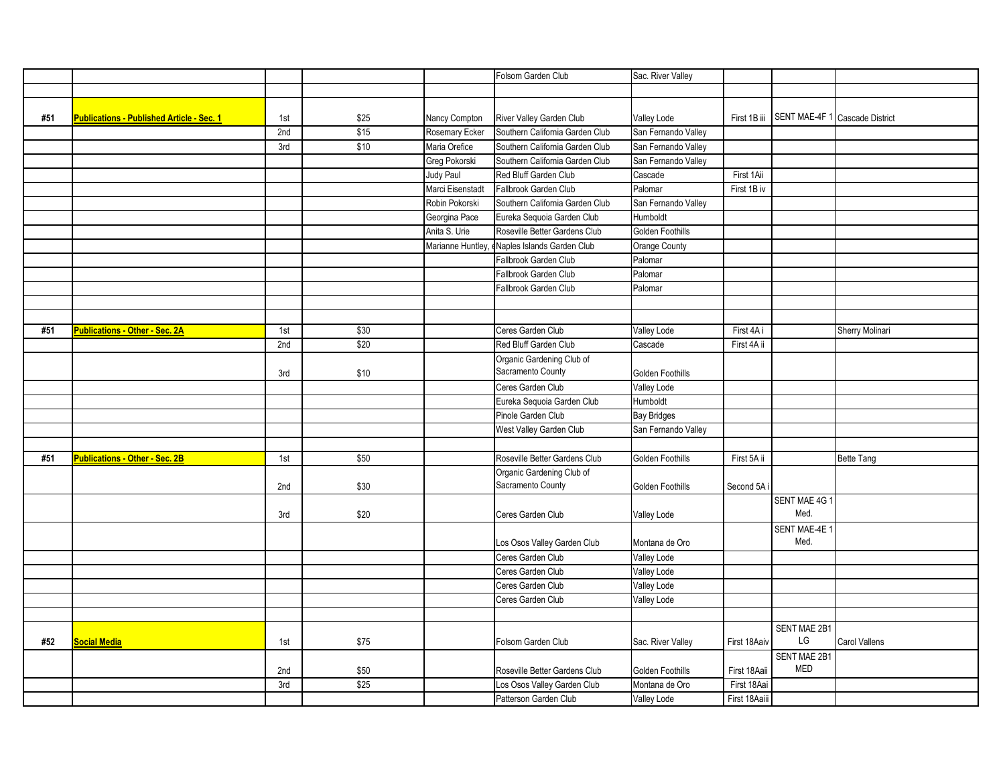|     |                                                  |     |      |                  | Folsom Garden Club              | Sac. River Valley   |                |               |                                |
|-----|--------------------------------------------------|-----|------|------------------|---------------------------------|---------------------|----------------|---------------|--------------------------------|
|     |                                                  |     |      |                  |                                 |                     |                |               |                                |
|     |                                                  |     |      |                  |                                 |                     |                |               |                                |
| #51 | <b>Publications - Published Article - Sec. 1</b> | 1st | \$25 | Nancy Compton    | River Valley Garden Club        | <b>Valley Lode</b>  | First 1B iii   |               | SENT MAE-4F 1 Cascade District |
|     |                                                  | 2nd | \$15 | Rosemary Ecker   | Southern California Garden Club | San Fernando Valley |                |               |                                |
|     |                                                  | 3rd | \$10 | Maria Orefice    | Southern California Garden Club | San Fernando Valley |                |               |                                |
|     |                                                  |     |      | Greg Pokorski    | Southern California Garden Club | San Fernando Valley |                |               |                                |
|     |                                                  |     |      | Judy Paul        | Red Bluff Garden Club           | Cascade             | First 1Aii     |               |                                |
|     |                                                  |     |      | Marci Eisenstadt | Fallbrook Garden Club           | Palomar             | First 1B iv    |               |                                |
|     |                                                  |     |      | Robin Pokorski   | Southern California Garden Club | San Fernando Valley |                |               |                                |
|     |                                                  |     |      | Georgina Pace    | Eureka Sequoia Garden Club      | Humboldt            |                |               |                                |
|     |                                                  |     |      | Anita S. Urie    | Roseville Better Gardens Club   | Golden Foothills    |                |               |                                |
|     |                                                  |     |      | Marianne Huntley | Naples Islands Garden Club      | Orange County       |                |               |                                |
|     |                                                  |     |      |                  | Fallbrook Garden Club           | Palomar             |                |               |                                |
|     |                                                  |     |      |                  | Fallbrook Garden Club           | Palomar             |                |               |                                |
|     |                                                  |     |      |                  | Fallbrook Garden Club           | Palomar             |                |               |                                |
|     |                                                  |     |      |                  |                                 |                     |                |               |                                |
|     |                                                  |     |      |                  |                                 |                     |                |               |                                |
| #51 | <b>Publications - Other - Sec. 2A</b>            | 1st | \$30 |                  | Ceres Garden Club               | Valley Lode         | First 4A i     |               | Sherry Molinari                |
|     |                                                  | 2nd | \$20 |                  | Red Bluff Garden Club           | Cascade             | First 4A ii    |               |                                |
|     |                                                  |     |      |                  | Organic Gardening Club of       |                     |                |               |                                |
|     |                                                  | 3rd | \$10 |                  | Sacramento County               | Golden Foothills    |                |               |                                |
|     |                                                  |     |      |                  | Ceres Garden Club               | Valley Lode         |                |               |                                |
|     |                                                  |     |      |                  | Eureka Sequoia Garden Club      | Humboldt            |                |               |                                |
|     |                                                  |     |      |                  | Pinole Garden Club              | <b>Bay Bridges</b>  |                |               |                                |
|     |                                                  |     |      |                  | West Valley Garden Club         | San Fernando Valley |                |               |                                |
|     |                                                  |     |      |                  |                                 |                     |                |               |                                |
| #51 | <b>Publications - Other - Sec. 2B</b>            | 1st | \$50 |                  | Roseville Better Gardens Club   | Golden Foothills    | First 5A ii    |               | <b>Bette Tang</b>              |
|     |                                                  |     |      |                  | Organic Gardening Club of       |                     |                |               |                                |
|     |                                                  | 2nd | \$30 |                  | Sacramento County               | Golden Foothills    | Second 5A      |               |                                |
|     |                                                  |     |      |                  |                                 |                     |                | SENT MAE 4G 1 |                                |
|     |                                                  | 3rd | \$20 |                  | Ceres Garden Club               | Valley Lode         |                | Med.          |                                |
|     |                                                  |     |      |                  |                                 |                     |                | SENT MAE-4E 1 |                                |
|     |                                                  |     |      |                  | Los Osos Valley Garden Club     | Montana de Oro      |                | Med.          |                                |
|     |                                                  |     |      |                  | Ceres Garden Club               | Valley Lode         |                |               |                                |
|     |                                                  |     |      |                  | Ceres Garden Club               | <b>Valley Lode</b>  |                |               |                                |
|     |                                                  |     |      |                  | Ceres Garden Club               | Valley Lode         |                |               |                                |
|     |                                                  |     |      |                  | Ceres Garden Club               | <b>Valley Lode</b>  |                |               |                                |
|     |                                                  |     |      |                  |                                 |                     |                |               |                                |
|     |                                                  |     |      |                  |                                 |                     |                | SENT MAE 2B1  |                                |
| #52 | <b>Social Media</b>                              | 1st | \$75 |                  | Folsom Garden Club              | Sac. River Valley   | First 18Aaiv   | $\mathsf{LG}$ | Carol Vallens                  |
|     |                                                  |     |      |                  |                                 |                     |                | SENT MAE 2B1  |                                |
|     |                                                  | 2nd | \$50 |                  | Roseville Better Gardens Club   | Golden Foothills    | First 18Aaii   | MED           |                                |
|     |                                                  | 3rd | \$25 |                  | Los Osos Valley Garden Club     | Montana de Oro      | First 18Aai    |               |                                |
|     |                                                  |     |      |                  | Patterson Garden Club           | Valley Lode         | First 18 Aaiii |               |                                |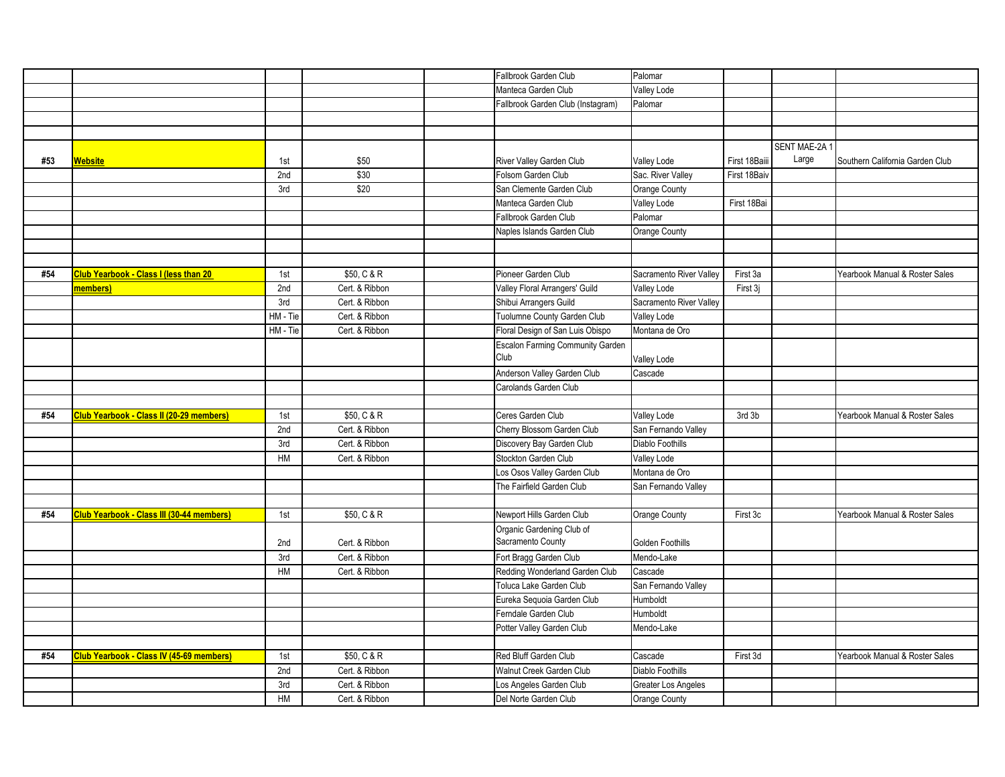|     |                                                  |          |                | Fallbrook Garden Club                   | Palomar                 |               |               |                                 |
|-----|--------------------------------------------------|----------|----------------|-----------------------------------------|-------------------------|---------------|---------------|---------------------------------|
|     |                                                  |          |                | Manteca Garden Club                     | <b>Valley Lode</b>      |               |               |                                 |
|     |                                                  |          |                | Fallbrook Garden Club (Instagram)       | Palomar                 |               |               |                                 |
|     |                                                  |          |                |                                         |                         |               |               |                                 |
|     |                                                  |          |                |                                         |                         |               |               |                                 |
|     |                                                  |          |                |                                         |                         |               | SENT MAE-2A 1 |                                 |
| #53 | Website                                          | 1st      | \$50           | River Valley Garden Club                | Valley Lode             | First 18Baiii | Large         | Southern California Garden Club |
|     |                                                  | 2nd      | \$30           | Folsom Garden Club                      | Sac. River Valley       | First 18Baiv  |               |                                 |
|     |                                                  | 3rd      | \$20           | San Clemente Garden Club                | Orange County           |               |               |                                 |
|     |                                                  |          |                | Manteca Garden Club                     | Valley Lode             | First 18Bai   |               |                                 |
|     |                                                  |          |                | Fallbrook Garden Club                   | Palomar                 |               |               |                                 |
|     |                                                  |          |                | Naples Islands Garden Club              | Orange County           |               |               |                                 |
|     |                                                  |          |                |                                         |                         |               |               |                                 |
|     |                                                  |          |                |                                         |                         |               |               |                                 |
| #54 | <b>Club Yearbook - Class I (less than 20</b>     | 1st      | \$50, C & R    | Pioneer Garden Club                     | Sacramento River Valley | First 3a      |               | Yearbook Manual & Roster Sales  |
|     | members)                                         | 2nd      | Cert. & Ribbon | Valley Floral Arrangers' Guild          | <b>Valley Lode</b>      | First 3j      |               |                                 |
|     |                                                  | 3rd      | Cert. & Ribbon | Shibui Arrangers Guild                  | Sacramento River Valley |               |               |                                 |
|     |                                                  | HM - Tie | Cert. & Ribbon | Tuolumne County Garden Club             | Valley Lode             |               |               |                                 |
|     |                                                  | HM - Tie | Cert. & Ribbon | Floral Design of San Luis Obispo        | Montana de Oro          |               |               |                                 |
|     |                                                  |          |                | <b>Escalon Farming Community Garden</b> |                         |               |               |                                 |
|     |                                                  |          |                | Club                                    | Valley Lode             |               |               |                                 |
|     |                                                  |          |                | Anderson Valley Garden Club             | Cascade                 |               |               |                                 |
|     |                                                  |          |                | Carolands Garden Club                   |                         |               |               |                                 |
|     |                                                  |          |                |                                         |                         |               |               |                                 |
| #54 | Club Yearbook - Class II (20-29 members)         | 1st      | \$50, C & R    | Ceres Garden Club                       | Valley Lode             | 3rd 3b        |               | Yearbook Manual & Roster Sales  |
|     |                                                  | 2nd      | Cert. & Ribbon | Cherry Blossom Garden Club              | San Fernando Valley     |               |               |                                 |
|     |                                                  | 3rd      | Cert. & Ribbon | Discovery Bay Garden Club               | Diablo Foothills        |               |               |                                 |
|     |                                                  | HM       | Cert. & Ribbon | Stockton Garden Club                    | Valley Lode             |               |               |                                 |
|     |                                                  |          |                | Los Osos Valley Garden Club             | Montana de Oro          |               |               |                                 |
|     |                                                  |          |                | The Fairfield Garden Club               | San Fernando Valley     |               |               |                                 |
|     |                                                  |          |                |                                         |                         |               |               |                                 |
| #54 | <b>Club Yearbook - Class III (30-44 members)</b> | 1st      | \$50, C & R    | Newport Hills Garden Club               | Orange County           | First 3c      |               | Yearbook Manual & Roster Sales  |
|     |                                                  |          |                | Organic Gardening Club of               |                         |               |               |                                 |
|     |                                                  | 2nd      | Cert. & Ribbon | Sacramento County                       | <b>Golden Foothills</b> |               |               |                                 |
|     |                                                  | 3rd      | Cert. & Ribbon | Fort Bragg Garden Club                  | Mendo-Lake              |               |               |                                 |
|     |                                                  | HM       | Cert. & Ribbon | Redding Wonderland Garden Club          | Cascade                 |               |               |                                 |
|     |                                                  |          |                | Toluca Lake Garden Club                 | San Fernando Valley     |               |               |                                 |
|     |                                                  |          |                | Eureka Sequoia Garden Club              | Humboldt                |               |               |                                 |
|     |                                                  |          |                | Ferndale Garden Club                    | Humboldt                |               |               |                                 |
|     |                                                  |          |                | Potter Valley Garden Club               | Mendo-Lake              |               |               |                                 |
|     |                                                  |          |                |                                         |                         |               |               |                                 |
| #54 | <b>Club Yearbook - Class IV (45-69 members)</b>  | 1st      | \$50, C & R    | Red Bluff Garden Club                   | Cascade                 | First 3d      |               | Yearbook Manual & Roster Sales  |
|     |                                                  | 2nd      | Cert. & Ribbon | Walnut Creek Garden Club                | Diablo Foothills        |               |               |                                 |
|     |                                                  | 3rd      | Cert. & Ribbon | Los Angeles Garden Club                 | Greater Los Angeles     |               |               |                                 |
|     |                                                  | HM       | Cert. & Ribbon | Del Norte Garden Club                   | Orange County           |               |               |                                 |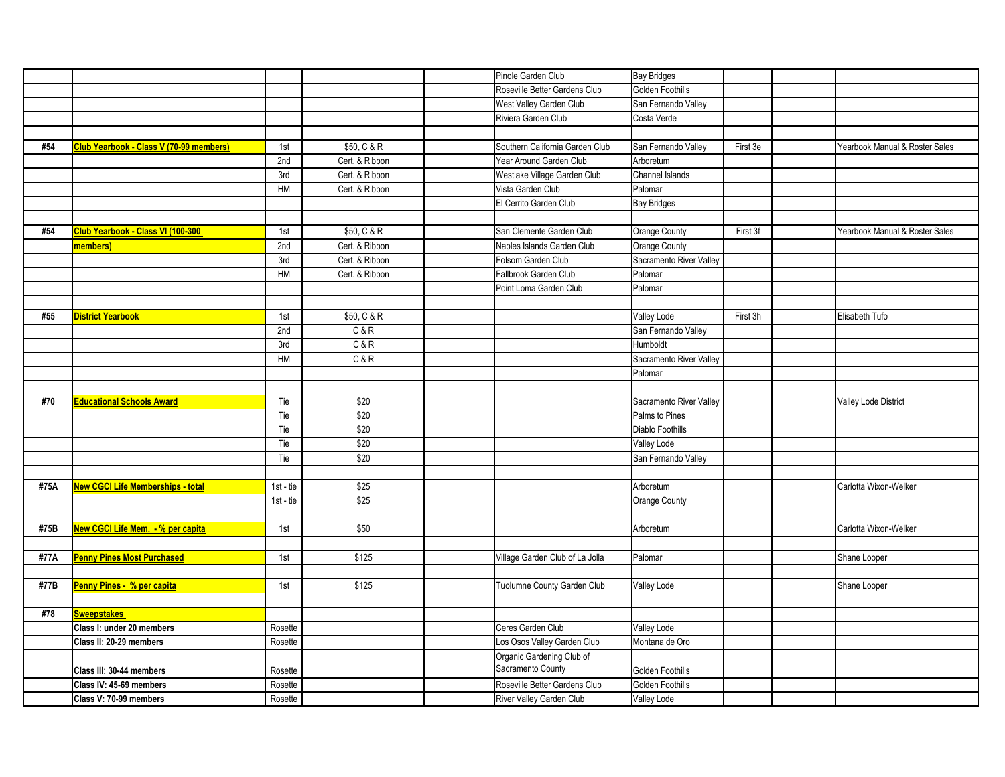|      |                                                 |            |                | Pinole Garden Club                             | <b>Bay Bridges</b>                 |          |                                |
|------|-------------------------------------------------|------------|----------------|------------------------------------------------|------------------------------------|----------|--------------------------------|
|      |                                                 |            |                | Roseville Better Gardens Club                  | Golden Foothills                   |          |                                |
|      |                                                 |            |                | West Valley Garden Club                        | San Fernando Valley                |          |                                |
|      |                                                 |            |                | Riviera Garden Club                            | Costa Verde                        |          |                                |
|      |                                                 |            |                |                                                |                                    |          |                                |
| #54  | Club Yearbook - Class V (70-99 members)         | 1st        | \$50, C & R    | Southern California Garden Club                | San Fernando Valley                | First 3e | Yearbook Manual & Roster Sales |
|      |                                                 | 2nd        | Cert. & Ribbon | Year Around Garden Club                        | Arboretum                          |          |                                |
|      |                                                 | 3rd        | Cert. & Ribbon | Westlake Village Garden Club                   | Channel Islands                    |          |                                |
|      |                                                 | HM         | Cert. & Ribbon | Vista Garden Club                              | Palomar                            |          |                                |
|      |                                                 |            |                | El Cerrito Garden Club                         | <b>Bay Bridges</b>                 |          |                                |
|      |                                                 |            |                |                                                |                                    |          |                                |
| #54  | Club Yearbook - Class VI (100-300               | 1st        | \$50, C & R    | San Clemente Garden Club                       | Orange County                      | First 3f | Yearbook Manual & Roster Sales |
|      | members)                                        | 2nd        | Cert. & Ribbon | Naples Islands Garden Club                     | Orange County                      |          |                                |
|      |                                                 | 3rd        | Cert. & Ribbon | Folsom Garden Club                             | Sacramento River Valley            |          |                                |
|      |                                                 | HM         | Cert. & Ribbon | Fallbrook Garden Club                          | Palomar                            |          |                                |
|      |                                                 |            |                | Point Loma Garden Club                         | Palomar                            |          |                                |
|      |                                                 |            |                |                                                |                                    |          |                                |
| #55  | <b>District Yearbook</b>                        | 1st        | \$50, C & R    |                                                | <b>Valley Lode</b>                 | First 3h | Elisabeth Tufo                 |
|      |                                                 | 2nd        | C&R            |                                                | San Fernando Valley                |          |                                |
|      |                                                 | 3rd        | C & R          |                                                | Humboldt                           |          |                                |
|      |                                                 | HM         | C & R          |                                                | Sacramento River Valley            |          |                                |
|      |                                                 |            |                |                                                | Palomar                            |          |                                |
|      |                                                 |            |                |                                                |                                    |          |                                |
| #70  | <b>Educational Schools Award</b>                | Tie        | \$20           |                                                | Sacramento River Valley            |          | <b>Valley Lode District</b>    |
|      |                                                 | Tie        | \$20           |                                                | Palms to Pines                     |          |                                |
|      |                                                 |            | \$20           |                                                |                                    |          |                                |
|      |                                                 | Tie<br>Tie | \$20           |                                                | Diablo Foothills                   |          |                                |
|      |                                                 | Tie        | \$20           |                                                | Valley Lode<br>San Fernando Valley |          |                                |
|      |                                                 |            |                |                                                |                                    |          |                                |
|      | <b>New CGCI Life Memberships - total</b>        |            | \$25           |                                                |                                    |          |                                |
| #75A |                                                 | 1st - tie  | \$25           |                                                | Arboretum                          |          | Carlotta Wixon-Welker          |
|      |                                                 | 1st - tie  |                |                                                | Orange County                      |          |                                |
| #75B | New CGCI Life Mem. - % per capita               | 1st        | \$50           |                                                | Arboretum                          |          | Carlotta Wixon-Welker          |
|      |                                                 |            |                |                                                |                                    |          |                                |
| #77A | <b>Penny Pines Most Purchased</b>               |            | \$125          | Village Garden Club of La Jolla                |                                    |          |                                |
|      |                                                 | 1st        |                |                                                | Palomar                            |          | Shane Looper                   |
| #77B | Penny Pines - % per capita                      | 1st        | \$125          | Tuolumne County Garden Club                    | <b>Valley Lode</b>                 |          | Shane Looper                   |
|      |                                                 |            |                |                                                |                                    |          |                                |
|      |                                                 |            |                |                                                |                                    |          |                                |
| #78  | <b>Sweepstakes</b><br>Class I: under 20 members |            |                | Ceres Garden Club                              | Valley Lode                        |          |                                |
|      |                                                 | Rosette    |                |                                                |                                    |          |                                |
|      | Class II: 20-29 members                         | Rosette    |                | Los Osos Valley Garden Club                    | Montana de Oro                     |          |                                |
|      |                                                 |            |                | Organic Gardening Club of<br>Sacramento County |                                    |          |                                |
|      | Class III: 30-44 members                        | Rosette    |                | Roseville Better Gardens Club                  | Golden Foothills                   |          |                                |
|      | Class IV: 45-69 members                         | Rosette    |                |                                                | Golden Foothills                   |          |                                |
|      | Class V: 70-99 members                          | Rosette    |                | River Valley Garden Club                       | Valley Lode                        |          |                                |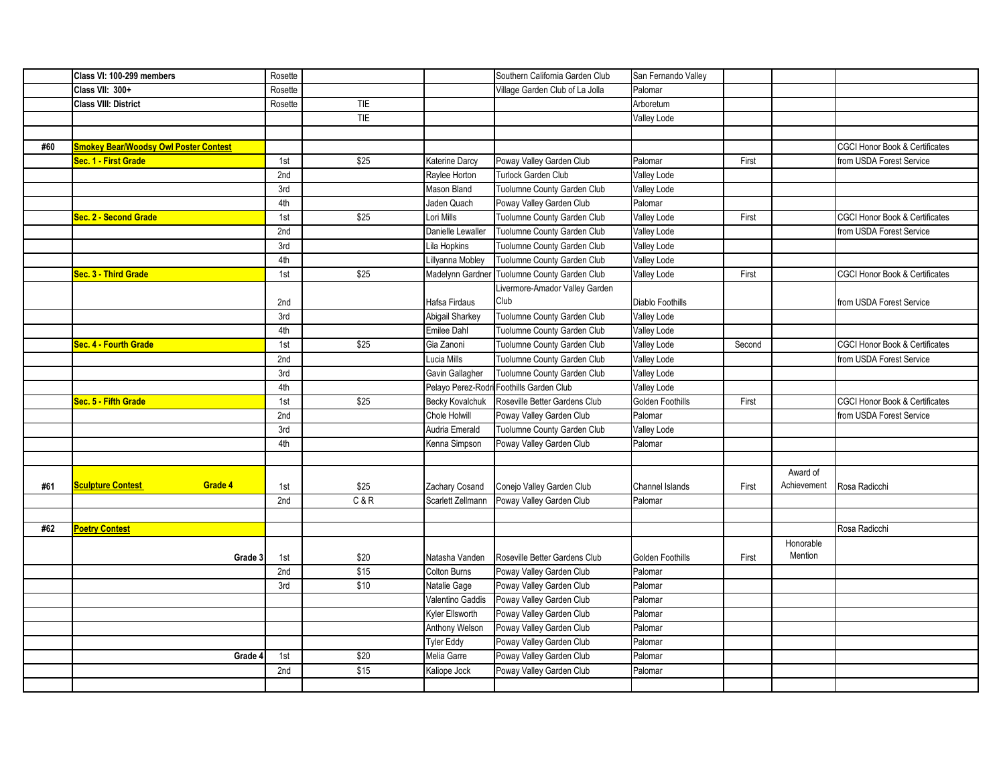|     | Class VI: 100-299 members                    | Rosette |            |                        | Southern California Garden Club          | San Fernando Valley     |        |             |                                           |
|-----|----------------------------------------------|---------|------------|------------------------|------------------------------------------|-------------------------|--------|-------------|-------------------------------------------|
|     | Class VII: 300+                              | Rosette |            |                        | Village Garden Club of La Jolla          | Palomar                 |        |             |                                           |
|     | <b>Class VIII: District</b>                  | Rosette | <b>TIE</b> |                        |                                          | Arboretum               |        |             |                                           |
|     |                                              |         | <b>TIE</b> |                        |                                          | Valley Lode             |        |             |                                           |
|     |                                              |         |            |                        |                                          |                         |        |             |                                           |
| #60 | <b>Smokey Bear/Woodsy Owl Poster Contest</b> |         |            |                        |                                          |                         |        |             | <b>CGCI Honor Book &amp; Certificates</b> |
|     | Sec. 1 - First Grade                         | 1st     | \$25       | Katerine Darcy         | Poway Valley Garden Club                 | Palomar                 | First  |             | from USDA Forest Service                  |
|     |                                              | 2nd     |            | Raylee Horton          | Turlock Garden Club                      | Valley Lode             |        |             |                                           |
|     |                                              | 3rd     |            | Mason Bland            | Tuolumne County Garden Club              | Valley Lode             |        |             |                                           |
|     |                                              | 4th     |            | Jaden Quach            | Poway Valley Garden Club                 | Palomar                 |        |             |                                           |
|     | Sec. 2 - Second Grade                        | 1st     | \$25       | Lori Mills             | Tuolumne County Garden Club              | Valley Lode             | First  |             | <b>CGCI Honor Book &amp; Certificates</b> |
|     |                                              | 2nd     |            | Danielle Lewaller      | Tuolumne County Garden Club              | Valley Lode             |        |             | from USDA Forest Service                  |
|     |                                              | 3rd     |            | Lila Hopkins           | Tuolumne County Garden Club              | Valley Lode             |        |             |                                           |
|     |                                              | 4th     |            | Lillyanna Mobley       | Tuolumne County Garden Club              | Valley Lode             |        |             |                                           |
|     | Sec. 3 - Third Grade                         | 1st     | \$25       | Madelynn Gardner       | Tuolumne County Garden Club              | Valley Lode             | First  |             | <b>CGCI Honor Book &amp; Certificates</b> |
|     |                                              |         |            |                        | Livermore-Amador Valley Garden           |                         |        |             |                                           |
|     |                                              | 2nd     |            | Hafsa Firdaus          | Club                                     | <b>Diablo Foothills</b> |        |             | from USDA Forest Service                  |
|     |                                              | 3rd     |            | <b>Abigail Sharkey</b> | Tuolumne County Garden Club              | Valley Lode             |        |             |                                           |
|     |                                              | 4th     |            | Emilee Dahl            | Tuolumne County Garden Club              | Valley Lode             |        |             |                                           |
|     | Sec. 4 - Fourth Grade                        | 1st     | \$25       | Gia Zanoni             | Tuolumne County Garden Club              | Valley Lode             | Second |             | <b>CGCI Honor Book &amp; Certificates</b> |
|     |                                              | 2nd     |            | Lucia Mills            | Tuolumne County Garden Club              | Valley Lode             |        |             | from USDA Forest Service                  |
|     |                                              | 3rd     |            | Gavin Gallagher        | Tuolumne County Garden Club              | Valley Lode             |        |             |                                           |
|     |                                              | 4th     |            |                        | Pelayo Perez-Rodri Foothills Garden Club | <b>Valley Lode</b>      |        |             |                                           |
|     | Sec. 5 - Fifth Grade                         | 1st     | \$25       | <b>Becky Kovalchuk</b> | Roseville Better Gardens Club            | Golden Foothills        | First  |             | <b>CGCI Honor Book &amp; Certificates</b> |
|     |                                              | 2nd     |            | <b>Chole Holwill</b>   | Poway Valley Garden Club                 | Palomar                 |        |             | from USDA Forest Service                  |
|     |                                              | 3rd     |            | Audria Emerald         | Tuolumne County Garden Club              | Valley Lode             |        |             |                                           |
|     |                                              | 4th     |            | Kenna Simpson          | Poway Valley Garden Club                 | Palomar                 |        |             |                                           |
|     |                                              |         |            |                        |                                          |                         |        |             |                                           |
|     |                                              |         |            |                        |                                          |                         |        | Award of    |                                           |
| #61 | Grade 4<br><b>Sculpture Contest</b>          | 1st     | \$25       | Zachary Cosand         | Conejo Valley Garden Club                | Channel Islands         | First  | Achievement | Rosa Radicchi                             |
|     |                                              | 2nd     | C&R        | Scarlett Zellmann      | Poway Valley Garden Club                 | Palomar                 |        |             |                                           |
|     |                                              |         |            |                        |                                          |                         |        |             |                                           |
| #62 | <b>Poetry Contest</b>                        |         |            |                        |                                          |                         |        |             | Rosa Radicchi                             |
|     |                                              |         |            |                        |                                          |                         |        | Honorable   |                                           |
|     | Grade 3                                      | 1st     | \$20       | Natasha Vanden         | Roseville Better Gardens Club            | <b>Golden Foothills</b> | First  | Mention     |                                           |
|     |                                              | 2nd     | \$15       | Colton Burns           | Poway Valley Garden Club                 | Palomar                 |        |             |                                           |
|     |                                              | 3rd     | \$10       | Natalie Gage           | Poway Valley Garden Club                 | Palomar                 |        |             |                                           |
|     |                                              |         |            | Valentino Gaddis       | Poway Valley Garden Club                 | Palomar                 |        |             |                                           |
|     |                                              |         |            | Kyler Ellsworth        | Poway Valley Garden Club                 | Palomar                 |        |             |                                           |
|     |                                              |         |            | Anthony Welson         | Poway Valley Garden Club                 | Palomar                 |        |             |                                           |
|     |                                              |         |            | <b>Tyler Eddy</b>      | Poway Valley Garden Club                 | Palomar                 |        |             |                                           |
|     | Grade 4                                      | 1st     | \$20       | Melia Garre            | Poway Valley Garden Club                 | Palomar                 |        |             |                                           |
|     |                                              | 2nd     | \$15       | Kaliope Jock           | Poway Valley Garden Club                 | Palomar                 |        |             |                                           |
|     |                                              |         |            |                        |                                          |                         |        |             |                                           |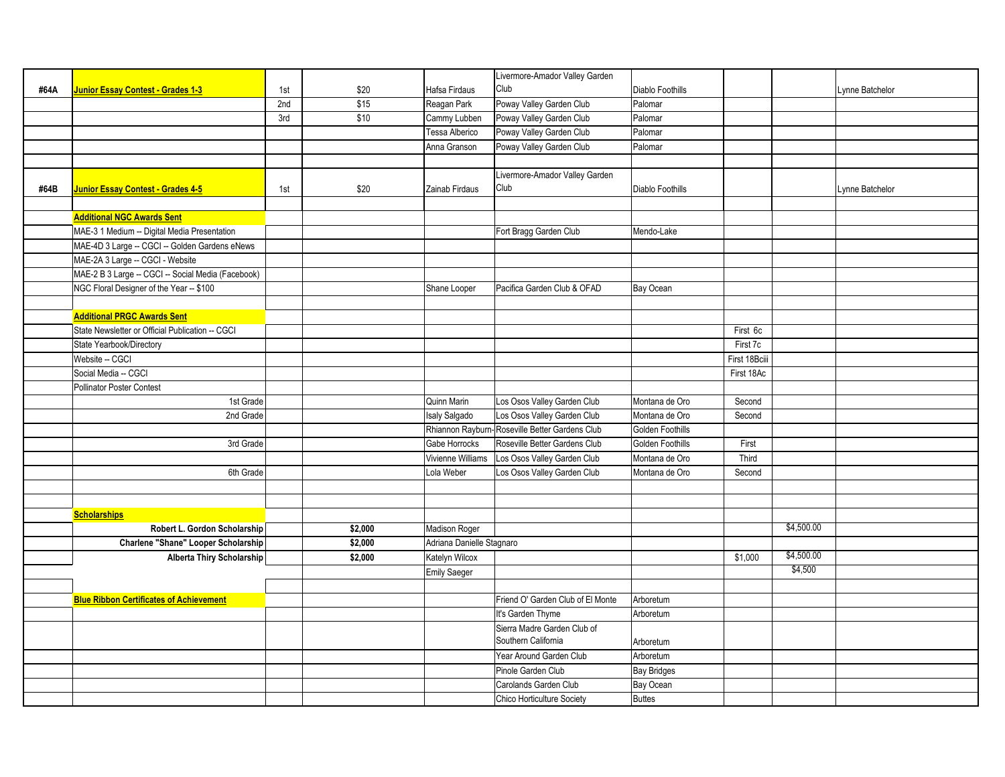|      |                                                    |     |         |                           | Livermore-Amador Valley Garden                 |                         |               |                 |  |
|------|----------------------------------------------------|-----|---------|---------------------------|------------------------------------------------|-------------------------|---------------|-----------------|--|
| #64A | Junior Essay Contest - Grades 1-3                  | 1st | \$20    | Hafsa Firdaus             | Club                                           | <b>Diablo Foothills</b> |               | Lynne Batchelor |  |
|      |                                                    | 2nd | \$15    | Reagan Park               | Poway Valley Garden Club                       | Palomar                 |               |                 |  |
|      |                                                    | 3rd | \$10    | Cammy Lubben              | Poway Valley Garden Club                       | Palomar                 |               |                 |  |
|      |                                                    |     |         | Tessa Alberico            | Poway Valley Garden Club                       | Palomar                 |               |                 |  |
|      |                                                    |     |         | Anna Granson              | Poway Valley Garden Club                       | Palomar                 |               |                 |  |
|      |                                                    |     |         |                           |                                                |                         |               |                 |  |
|      |                                                    |     |         |                           | Livermore-Amador Valley Garden                 |                         |               |                 |  |
| #64B | <b>Junior Essay Contest - Grades 4-5</b>           | 1st | \$20    | Zainab Firdaus            | Club                                           | Diablo Foothills        |               | Lynne Batchelor |  |
|      |                                                    |     |         |                           |                                                |                         |               |                 |  |
|      | <b>Additional NGC Awards Sent</b>                  |     |         |                           |                                                |                         |               |                 |  |
|      | MAE-3 1 Medium -- Digital Media Presentation       |     |         |                           | Fort Bragg Garden Club                         | Mendo-Lake              |               |                 |  |
|      | MAE-4D 3 Large -- CGCI -- Golden Gardens eNews     |     |         |                           |                                                |                         |               |                 |  |
|      | MAE-2A 3 Large -- CGCI - Website                   |     |         |                           |                                                |                         |               |                 |  |
|      | MAE-2 B 3 Large -- CGCI -- Social Media (Facebook) |     |         |                           |                                                |                         |               |                 |  |
|      | NGC Floral Designer of the Year -- \$100           |     |         | Shane Looper              | Pacifica Garden Club & OFAD                    | Bay Ocean               |               |                 |  |
|      |                                                    |     |         |                           |                                                |                         |               |                 |  |
|      | <b>Additional PRGC Awards Sent</b>                 |     |         |                           |                                                |                         |               |                 |  |
|      | State Newsletter or Official Publication -- CGCI   |     |         |                           |                                                |                         | First 6c      |                 |  |
|      | State Yearbook/Directory                           |     |         |                           |                                                |                         | First 7c      |                 |  |
|      | Website -- CGCI                                    |     |         |                           |                                                |                         | First 18Bciii |                 |  |
|      | Social Media -- CGCI                               |     |         |                           |                                                |                         | First 18Ac    |                 |  |
|      | <b>Pollinator Poster Contest</b>                   |     |         |                           |                                                |                         |               |                 |  |
|      | 1st Grade                                          |     |         | Quinn Marin               | Los Osos Valley Garden Club                    | Montana de Oro          | Second        |                 |  |
|      | 2nd Grade                                          |     |         | Isaly Salgado             | Los Osos Valley Garden Club                    | Montana de Oro          | Second        |                 |  |
|      |                                                    |     |         |                           | Rhiannon Rayburn-Roseville Better Gardens Club | Golden Foothills        |               |                 |  |
|      | 3rd Grade                                          |     |         | Gabe Horrocks             | Roseville Better Gardens Club                  | Golden Foothills        | First         |                 |  |
|      |                                                    |     |         | Vivienne Williams         | Los Osos Valley Garden Club                    | Montana de Oro          | Third         |                 |  |
|      | 6th Grade                                          |     |         | Lola Weber                | Los Osos Valley Garden Club                    | Montana de Oro          | Second        |                 |  |
|      |                                                    |     |         |                           |                                                |                         |               |                 |  |
|      |                                                    |     |         |                           |                                                |                         |               |                 |  |
|      | <b>Scholarships</b>                                |     |         |                           |                                                |                         |               |                 |  |
|      | Robert L. Gordon Scholarship                       |     | \$2,000 | Madison Roger             |                                                |                         |               | \$4,500.00      |  |
|      | Charlene "Shane" Looper Scholarship                |     | \$2,000 | Adriana Danielle Stagnaro |                                                |                         |               |                 |  |
|      | Alberta Thiry Scholarship                          |     | \$2,000 | Katelyn Wilcox            |                                                |                         | \$1,000       | \$4,500.00      |  |
|      |                                                    |     |         | Emily Saeger              |                                                |                         |               | \$4,500         |  |
|      |                                                    |     |         |                           |                                                |                         |               |                 |  |
|      | <b>Blue Ribbon Certificates of Achievement</b>     |     |         |                           | Friend O' Garden Club of El Monte              | Arboretum               |               |                 |  |
|      |                                                    |     |         |                           | It's Garden Thyme                              | Arboretum               |               |                 |  |
|      |                                                    |     |         |                           | Sierra Madre Garden Club of                    |                         |               |                 |  |
|      |                                                    |     |         |                           | Southern California                            | Arboretum               |               |                 |  |
|      |                                                    |     |         |                           | Year Around Garden Club                        | Arboretum               |               |                 |  |
|      |                                                    |     |         |                           | Pinole Garden Club                             | <b>Bay Bridges</b>      |               |                 |  |
|      |                                                    |     |         |                           | Carolands Garden Club                          | Bay Ocean               |               |                 |  |
|      |                                                    |     |         |                           | <b>Chico Horticulture Society</b>              | <b>Buttes</b>           |               |                 |  |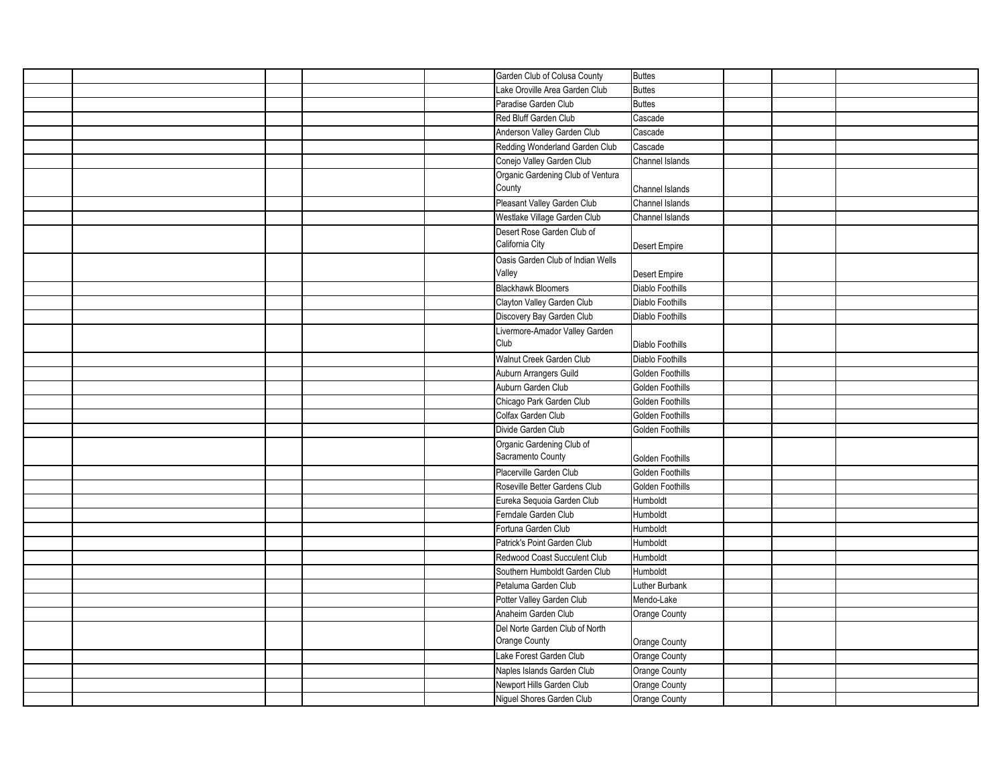|  | Garden Club of Colusa County      | Buttes           |  |
|--|-----------------------------------|------------------|--|
|  | Lake Oroville Area Garden Club    | Buttes           |  |
|  | Paradise Garden Club              | <b>Buttes</b>    |  |
|  | Red Bluff Garden Club             | Cascade          |  |
|  | Anderson Valley Garden Club       | Cascade          |  |
|  | Redding Wonderland Garden Club    | Cascade          |  |
|  | Conejo Valley Garden Club         | Channel Islands  |  |
|  | Organic Gardening Club of Ventura |                  |  |
|  | County                            | Channel Islands  |  |
|  | Pleasant Valley Garden Club       | Channel Islands  |  |
|  | Westlake Village Garden Club      | Channel Islands  |  |
|  | Desert Rose Garden Club of        |                  |  |
|  | California City                   | Desert Empire    |  |
|  | Oasis Garden Club of Indian Wells |                  |  |
|  | Valley                            | Desert Empire    |  |
|  | <b>Blackhawk Bloomers</b>         | Diablo Foothills |  |
|  | Clayton Valley Garden Club        | Diablo Foothills |  |
|  | Discovery Bay Garden Club         | Diablo Foothills |  |
|  | Livermore-Amador Valley Garden    |                  |  |
|  | Club                              | Diablo Foothills |  |
|  | Walnut Creek Garden Club          | Diablo Foothills |  |
|  | Auburn Arrangers Guild            | Golden Foothills |  |
|  | Auburn Garden Club                | Golden Foothills |  |
|  | Chicago Park Garden Club          | Golden Foothills |  |
|  | Colfax Garden Club                | Golden Foothills |  |
|  | Divide Garden Club                | Golden Foothills |  |
|  | Organic Gardening Club of         |                  |  |
|  | Sacramento County                 | Golden Foothills |  |
|  | Placerville Garden Club           | Golden Foothills |  |
|  | Roseville Better Gardens Club     | Golden Foothills |  |
|  | Eureka Sequoia Garden Club        | Humboldt         |  |
|  | Ferndale Garden Club              | Humboldt         |  |
|  | Fortuna Garden Club               | Humboldt         |  |
|  | Patrick's Point Garden Club       | Humboldt         |  |
|  | Redwood Coast Succulent Club      | Humboldt         |  |
|  | Southern Humboldt Garden Club     | Humboldt         |  |
|  | Petaluma Garden Club              | Luther Burbank   |  |
|  | Potter Valley Garden Club         | Mendo-Lake       |  |
|  | Anaheim Garden Club               | Orange County    |  |
|  | Del Norte Garden Club of North    |                  |  |
|  | Orange County                     | Orange County    |  |
|  | Lake Forest Garden Club           | Orange County    |  |
|  | Naples Islands Garden Club        | Orange County    |  |
|  | Newport Hills Garden Club         | Orange County    |  |
|  | Niguel Shores Garden Club         | Orange County    |  |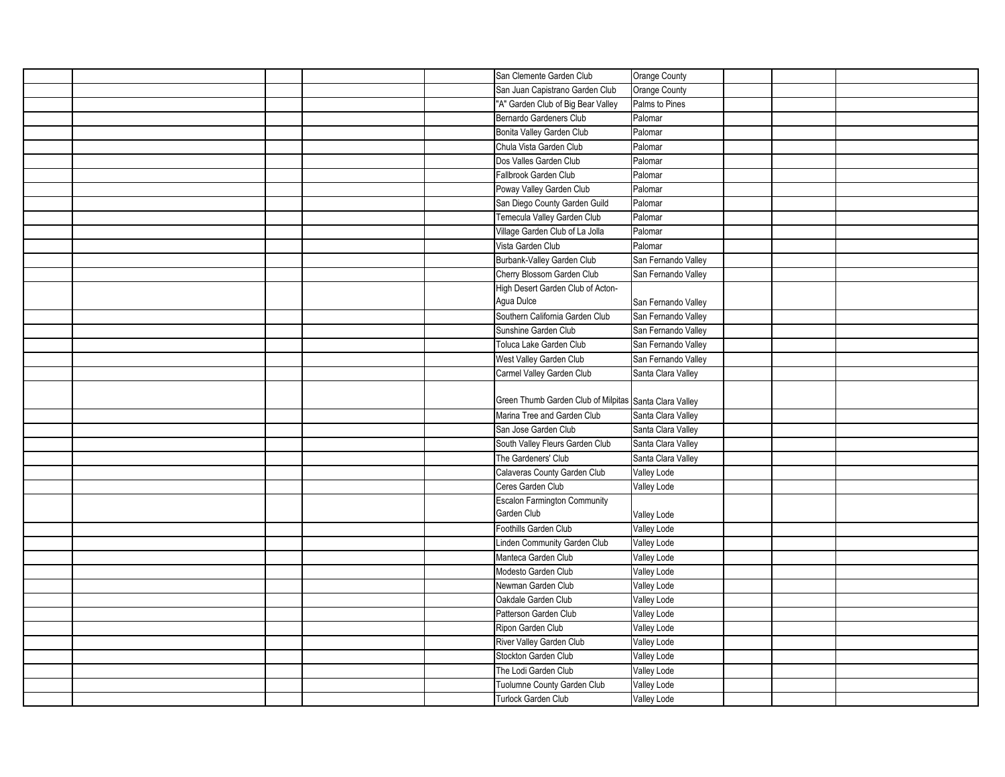|  | San Clemente Garden Club                               | Orange County              |  |  |
|--|--------------------------------------------------------|----------------------------|--|--|
|  | San Juan Capistrano Garden Club                        | Orange County              |  |  |
|  | "A" Garden Club of Big Bear Valley                     | Palms to Pines             |  |  |
|  | Bernardo Gardeners Club                                | Palomar                    |  |  |
|  | Bonita Valley Garden Club                              | Palomar                    |  |  |
|  | Chula Vista Garden Club                                | Palomar                    |  |  |
|  | Dos Valles Garden Club                                 | Palomar                    |  |  |
|  | Fallbrook Garden Club                                  | Palomar                    |  |  |
|  | Poway Valley Garden Club                               | Palomar                    |  |  |
|  | San Diego County Garden Guild                          | Palomar                    |  |  |
|  | Temecula Valley Garden Club                            | Palomar                    |  |  |
|  | Village Garden Club of La Jolla                        | Palomar                    |  |  |
|  | Vista Garden Club                                      | Palomar                    |  |  |
|  | Burbank-Valley Garden Club                             | San Fernando Valley        |  |  |
|  | Cherry Blossom Garden Club                             | San Fernando Valley        |  |  |
|  | High Desert Garden Club of Acton-                      |                            |  |  |
|  | Agua Dulce                                             | San Fernando Valley        |  |  |
|  | Southern California Garden Club                        | San Fernando Valley        |  |  |
|  | Sunshine Garden Club                                   | San Fernando Valley        |  |  |
|  | Toluca Lake Garden Club                                | San Fernando Valley        |  |  |
|  | West Valley Garden Club                                | San Fernando Valley        |  |  |
|  | Carmel Valley Garden Club                              | Santa Clara Valley         |  |  |
|  |                                                        |                            |  |  |
|  | Green Thumb Garden Club of Milpitas Santa Clara Valley |                            |  |  |
|  | Marina Tree and Garden Club                            | Santa Clara Valley         |  |  |
|  | San Jose Garden Club                                   | Santa Clara Valley         |  |  |
|  | South Valley Fleurs Garden Club                        | Santa Clara Valley         |  |  |
|  |                                                        | Santa Clara Valley         |  |  |
|  |                                                        |                            |  |  |
|  | The Gardeners' Club                                    |                            |  |  |
|  | Calaveras County Garden Club                           | Valley Lode                |  |  |
|  | Ceres Garden Club                                      | Valley Lode                |  |  |
|  | <b>Escalon Farmington Community</b><br>Garden Club     |                            |  |  |
|  |                                                        | Valley Lode                |  |  |
|  | Foothills Garden Club                                  | Valley Lode                |  |  |
|  | Linden Community Garden Club<br>Manteca Garden Club    | Valley Lode                |  |  |
|  | Modesto Garden Club                                    | Valley Lode                |  |  |
|  | Newman Garden Club                                     | Valley Lode                |  |  |
|  | Oakdale Garden Club                                    | Valley Lode                |  |  |
|  | Patterson Garden Club                                  | Valley Lode                |  |  |
|  | Ripon Garden Club                                      | Valley Lode                |  |  |
|  |                                                        | Valley Lode                |  |  |
|  | River Valley Garden Club                               | Valley Lode                |  |  |
|  | Stockton Garden Club<br>The Lodi Garden Club           | Valley Lode                |  |  |
|  | Tuolumne County Garden Club                            | Valley Lode<br>Valley Lode |  |  |
|  | Turlock Garden Club                                    | Valley Lode                |  |  |